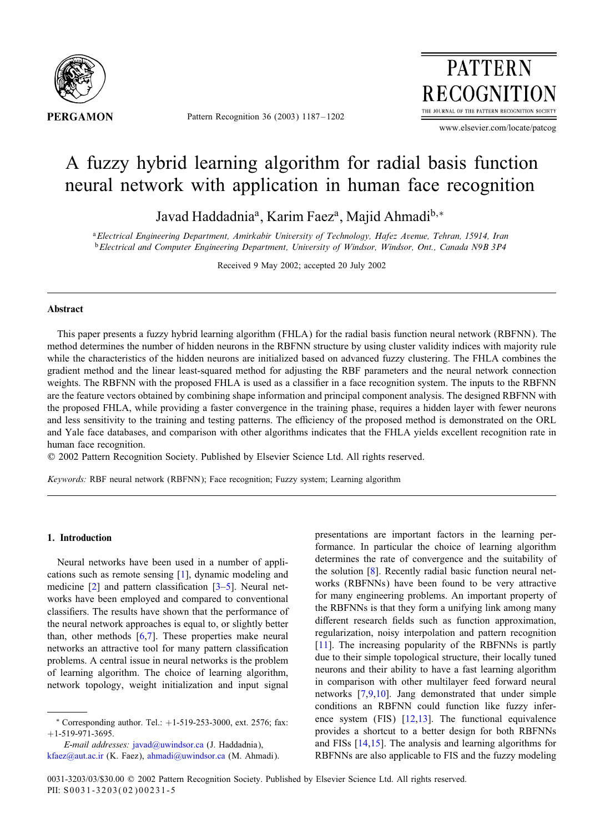

Pattern Recognition 36 (2003) 1187 – 1202



www.elsevier.com/locate/patcog

# A fuzzy hybrid learning algorithm for radial basis function neural network with application in human face recognition

Javad Haddadnia<sup>a</sup>, Karim Faez<sup>a</sup>, Majid Ahmadi<sup>b,∗</sup>

<sup>a</sup>*Electrical Engineering Department, Amirkabir University of Technology, Hafez Avenue, Tehran, 15914, Iran* <sup>b</sup>*Electrical and Computer Engineering Department, University of Windsor, Windsor, Ont., Canada N9B 3P4*

Received 9 May 2002; accepted 20 July 2002

## Abstract

This paper presents a fuzzy hybrid learning algorithm (FHLA) for the radial basis function neural network (RBFNN). The method determines the number of hidden neurons in the RBFNN structure by using cluster validity indices with majority rule while the characteristics of the hidden neurons are initialized based on advanced fuzzy clustering. The FHLA combines the gradient method and the linear least-squared method for adjusting the RBF parameters and the neural network connection weights. The RBFNN with the proposed FHLA is used as a classifier in a face recognition system. The inputs to the RBFNN are the feature vectors obtained by combining shape information and principal component analysis. The designed RBFNN with the proposed FHLA, while providing a faster convergence in the training phase, requires a hidden layer with fewer neurons and less sensitivity to the training and testing patterns. The efficiency of the proposed method is demonstrated on the ORL and Yale face databases, and comparison with other algorithms indicates that the FHLA yields excellent recognition rate in human face recognition.

? 2002 Pattern Recognition Society. Published by Elsevier Science Ltd. All rights reserved.

*Keywords:* RBF neural network (RBFNN); Face recognition; Fuzzy system; Learning algorithm

# 1. Introduction

Neural networks have been used in a number of applications such as remote sensing [\[1\]](#page-14-0), dynamic modeling and medicine  $\lceil 2 \rceil$  and pattern classification  $\lceil 3-5 \rceil$ . Neural networks have been employed and compared to conventional classifiers. The results have shown that the performance of the neural network approaches is equal to, or slightly better than, other methods  $[6,7]$ . These properties make neural networks an attractive tool for many pattern classification problems. A central issue in neural networks is the problem of learning algorithm. The choice of learning algorithm, network topology, weight initialization and input signal

*E-mail addresses:* [javad@uwindsor.ca](mailto:javad@uwindsor.ca) (J. Haddadnia), [kfaez@aut.ac.ir](mailto:kfaez@aut.ac.ir) (K. Faez), [ahmadi@uwindsor.ca](mailto:ahmadi@uwindsor.ca) (M. Ahmadi). presentations are important factors in the learning performance. In particular the choice of learning algorithm determines the rate of convergence and the suitability of the solution [\[8\]](#page-14-0). Recently radial basic function neural networks (RBFNNs) have been found to be very attractive for many engineering problems. An important property of the RBFNNs is that they form a unifying link among many different research fields such as function approximation, regularization, noisy interpolation and pattern recognition [\[11\]](#page-14-0). The increasing popularity of the RBFNNs is partly due to their simple topological structure, their locally tuned neurons and their ability to have a fast learning algorithm in comparison with other multilayer feed forward neural networks [\[7,9,10\]](#page-14-0). Jang demonstrated that under simple conditions an RBFNN could function like fuzzy inference system (FIS)  $[12,13]$ . The functional equivalence provides a shortcut to a better design for both RBFNNs and FISs [\[14,15\]](#page-14-0). The analysis and learning algorithms for RBFNNs are also applicable to FIS and the fuzzy modeling

<sup>∗</sup> Corresponding author. Tel.: +1-519-253-3000, ext. 2576; fax:  $+1-519-971-3695$ .

<sup>0031-3203/03/\$30.00 @ 2002</sup> Pattern Recognition Society. Published by Elsevier Science Ltd. All rights reserved. PII: S0031-3203(02)00231-5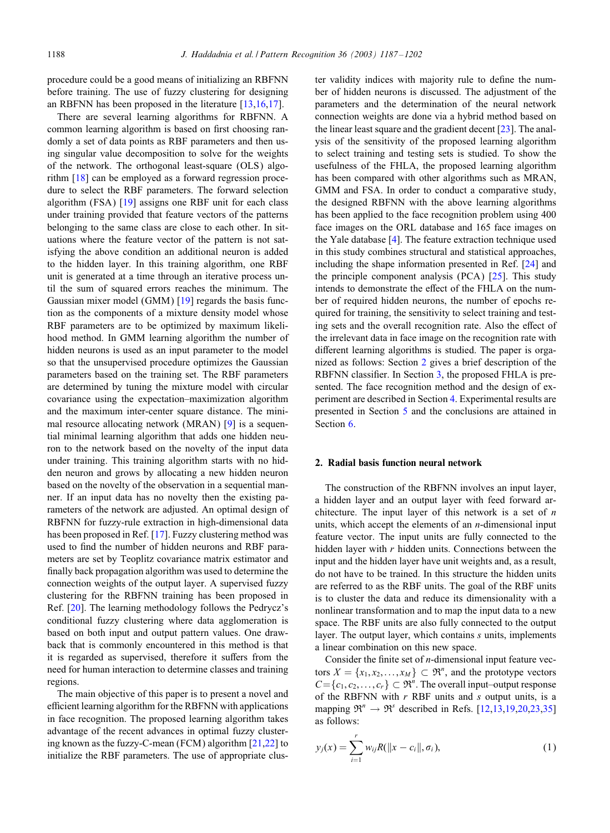<span id="page-1-0"></span>procedure could be a good means of initializing an RBFNN before training. The use of fuzzy clustering for designing an RBFNN has been proposed in the literature [\[13,16,17\]](#page-14-0).

There are several learning algorithms for RBFNN. A common learning algorithm is based on first choosing randomly a set of data points as RBF parameters and then using singular value decomposition to solve for the weights of the network. The orthogonal least-square (OLS) algorithm [\[18\]](#page-14-0) can be employed as a forward regression procedure to select the RBF parameters. The forward selection algorithm (FSA) [\[19\]](#page-14-0) assigns one RBF unit for each class under training provided that feature vectors of the patterns belonging to the same class are close to each other. In situations where the feature vector of the pattern is not satisfying the above condition an additional neuron is added to the hidden layer. In this training algorithm, one RBF unit is generated at a time through an iterative process until the sum of squared errors reaches the minimum. The Gaussian mixer model (GMM) [\[19\]](#page-14-0) regards the basis function as the components of a mixture density model whose RBF parameters are to be optimized by maximum likelihood method. In GMM learning algorithm the number of hidden neurons is used as an input parameter to the model so that the unsupervised procedure optimizes the Gaussian parameters based on the training set. The RBF parameters are determined by tuning the mixture model with circular covariance using the expectation–maximization algorithm and the maximum inter-center square distance. The minimal resource allocating network (MRAN) [\[9\]](#page-14-0) is a sequential minimal learning algorithm that adds one hidden neuron to the network based on the novelty of the input data under training. This training algorithm starts with no hidden neuron and grows by allocating a new hidden neuron based on the novelty of the observation in a sequential manner. If an input data has no novelty then the existing parameters of the network are adjusted. An optimal design of RBFNN for fuzzy-rule extraction in high-dimensional data has been proposed in Ref. [\[17\]](#page-14-0). Fuzzy clustering method was used to find the number of hidden neurons and RBF parameters are set by Teoplitz covariance matrix estimator and finally back propagation algorithm was used to determine the connection weights of the output layer. A supervised fuzzy clustering for the RBFNN training has been proposed in Ref. [\[20\]](#page-14-0). The learning methodology follows the Pedrycz's conditional fuzzy clustering where data agglomeration is based on both input and output pattern values. One drawback that is commonly encountered in this method is that it is regarded as supervised, therefore it suffers from the need for human interaction to determine classes and training regions.

The main objective of this paper is to present a novel and efficient learning algorithm for the RBFNN with applications in face recognition. The proposed learning algorithm takes advantage of the recent advances in optimal fuzzy clustering known as the fuzzy-C-mean (FCM) algorithm [\[21,22\]](#page-14-0) to initialize the RBF parameters. The use of appropriate cluster validity indices with majority rule to define the number of hidden neurons is discussed. The adjustment of the parameters and the determination of the neural network connection weights are done via a hybrid method based on the linear least square and the gradient decent [\[23\]](#page-14-0). The analysis of the sensitivity of the proposed learning algorithm to select training and testing sets is studied. To show the usefulness of the FHLA, the proposed learning algorithm has been compared with other algorithms such as MRAN, GMM and FSA. In order to conduct a comparative study, the designed RBFNN with the above learning algorithms has been applied to the face recognition problem using 400 face images on the ORL database and 165 face images on the Yale database [\[4\]](#page-14-0). The feature extraction technique used in this study combines structural and statistical approaches, including the shape information presented in Ref. [\[24\]](#page-14-0) and the principle component analysis (PCA) [\[25\]](#page-14-0). This study intends to demonstrate the effect of the FHLA on the number of required hidden neurons, the number of epochs required for training, the sensitivity to select training and testing sets and the overall recognition rate. Also the effect of the irrelevant data in face image on the recognition rate with different learning algorithms is studied. The paper is organized as follows: Section 2 gives a brief description of the RBFNN classifier. In Section  $3$ , the proposed FHLA is presented. The face recognition method and the design of experiment are described in Section [4.](#page-7-0) Experimental results are presented in Section [5](#page-9-0) and the conclusions are attained in Section [6.](#page-14-0)

## 2. Radial basis function neural network

The construction of the RBFNN involves an input layer, a hidden layer and an output layer with feed forward architecture. The input layer of this network is a set of  $n$ units, which accept the elements of an  $n$ -dimensional input feature vector. The input units are fully connected to the hidden layer with  $r$  hidden units. Connections between the input and the hidden layer have unit weights and, as a result, do not have to be trained. In this structure the hidden units are referred to as the RBF units. The goal of the RBF units is to cluster the data and reduce its dimensionality with a nonlinear transformation and to map the input data to a new space. The RBF units are also fully connected to the output layer. The output layer, which contains s units, implements a linear combination on this new space.

Consider the finite set of  $n$ -dimensional input feature vectors  $X = \{x_1, x_2, ..., x_M\} \subset \mathfrak{R}^n$ , and the prototype vectors  $C = \{c_1, c_2, \ldots, c_r\} \subset \mathfrak{R}^n$ . The overall input–output response of the RBFNN with  $r$  RBF units and  $s$  output units, is a mapping  $\mathfrak{R}^n \to \mathfrak{R}^s$  described in Refs. [\[12,13,19,20,23](#page-14-0)[,35\]](#page-15-0) as follows:

$$
y_j(x) = \sum_{i=1}^r w_{ij} R(||x - c_i||, \sigma_i),
$$
 (1)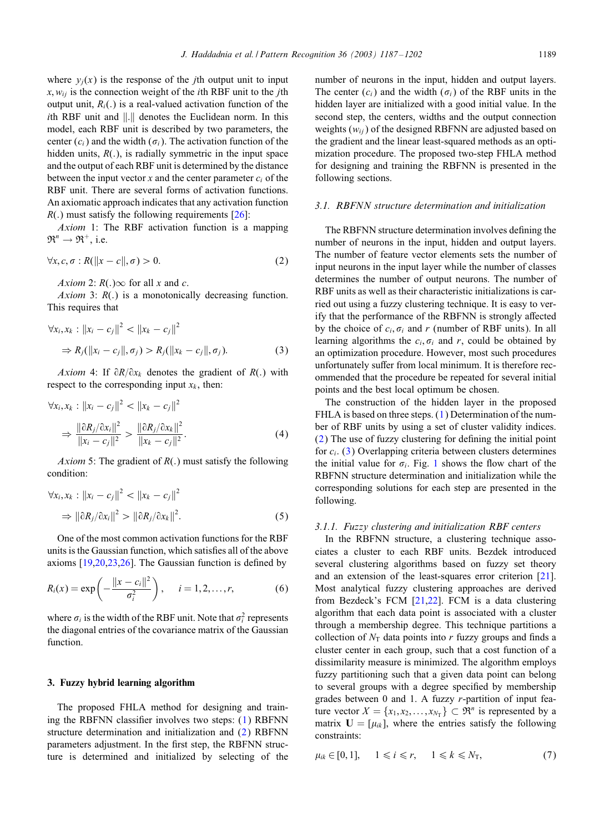<span id="page-2-0"></span>hidden units,  $R(.)$ , is radially symmetric in the input space and the output of each RBF unit is determined by the distance between the input vector x and the center parameter  $c_i$  of the RBF unit. There are several forms of activation functions. An axiomatic approach indicates that any activation function  $R(.)$  must satisfy the following requirements [\[26\]](#page-15-0):

*Axiom* 1: The RBF activation function is a mapping  $\mathfrak{R}^n \to \mathfrak{R}^+$ , i.e.

$$
\forall x, c, \sigma : R(||x - c||, \sigma) > 0. \tag{2}
$$

*Axiom* 2:  $R(.)\infty$  for all x and c.

*Axiom* 3:  $R(.)$  is a monotonically decreasing function. This requires that

$$
\forall x_i, x_k : ||x_i - c_j||^2 < ||x_k - c_j||^2
$$
  
\n
$$
\Rightarrow R_j(||x_i - c_j||, \sigma_j) > R_j(||x_k - c_j||, \sigma_j).
$$
 (3)

*Axiom* 4: If  $\partial R/\partial x_k$  denotes the gradient of R(.) with respect to the corresponding input  $x_k$ , then:

$$
\forall x_i, x_k : ||x_i - c_j||^2 < ||x_k - c_j||^2
$$
\n
$$
\Rightarrow \frac{||\partial R_j / \partial x_i||^2}{||x_i - c_j||^2} > \frac{||\partial R_j / \partial x_k||^2}{||x_k - c_j||^2}.\tag{4}
$$

*Axiom* 5: The gradient of  $R(.)$  must satisfy the following condition:

$$
\forall x_i, x_k : ||x_i - c_j||^2 < ||x_k - c_j||^2
$$
  
\n
$$
\Rightarrow ||\partial R_j / \partial x_i||^2 > ||\partial R_j / \partial x_k||^2.
$$
 (5)

One of the most common activation functions for the RBF units is the Gaussian function, which satisfies all of the above axioms  $[19,20,23,26]$  $[19,20,23,26]$ . The Gaussian function is defined by

$$
R_i(x) = \exp\left(-\frac{\|x - c_i\|^2}{\sigma_i^2}\right), \quad i = 1, 2, ..., r,
$$
 (6)

where  $\sigma_i$  is the width of the RBF unit. Note that  $\sigma_i^2$  represents the diagonal entries of the covariance matrix of the Gaussian function.

# 3. Fuzzy hybrid learning algorithm

The proposed FHLA method for designing and training the RBFNN classifier involves two steps:  $(1)$  RBFNN structure determination and initialization and (2) RBFNN parameters adjustment. In the first step, the RBFNN structure is determined and initialized by selecting of the number of neurons in the input, hidden and output layers. The center  $(c_i)$  and the width  $(\sigma_i)$  of the RBF units in the hidden layer are initialized with a good initial value. In the second step, the centers, widths and the output connection weights  $(w_{ij})$  of the designed RBFNN are adjusted based on the gradient and the linear least-squared methods as an optimization procedure. The proposed two-step FHLA method for designing and training the RBFNN is presented in the following sections.

## *3.1. RBFNN structure determination and initialization*

The RBFNN structure determination involves defining the number of neurons in the input, hidden and output layers. The number of feature vector elements sets the number of input neurons in the input layer while the number of classes determines the number of output neurons. The number of RBF units as well as their characteristic initializations is carried out using a fuzzy clustering technique. It is easy to verify that the performance of the RBFNN is strongly affected by the choice of  $c_i$ ,  $\sigma_i$  and r (number of RBF units). In all learning algorithms the  $c_i$ ,  $\sigma_i$  and r, could be obtained by an optimization procedure. However, most such procedures unfortunately suffer from local minimum. It is therefore recommended that the procedure be repeated for several initial points and the best local optimum be chosen.

The construction of the hidden layer in the proposed FHLA is based on three steps. [\(1\)](#page-1-0) Determination of the number of RBF units by using a set of cluster validity indices.  $(2)$  The use of fuzzy clustering for defining the initial point for  $c_i$ . (3) Overlapping criteria between clusters determines the initial value for  $\sigma_i$ . Fig. [1](#page-3-0) shows the flow chart of the RBFNN structure determination and initialization while the corresponding solutions for each step are presented in the following.

#### *3.1.1. Fuzzy clustering and initialization RBF centers*

In the RBFNN structure, a clustering technique associates a cluster to each RBF units. Bezdek introduced several clustering algorithms based on fuzzy set theory and an extension of the least-squares error criterion [\[21\]](#page-14-0). Most analytical fuzzy clustering approaches are derived from Bezdeck's FCM [\[21,22\]](#page-14-0). FCM is a data clustering algorithm that each data point is associated with a cluster through a membership degree. This technique partitions a collection of  $N<sub>T</sub>$  data points into r fuzzy groups and finds a cluster center in each group, such that a cost function of a dissimilarity measure is minimized. The algorithm employs fuzzy partitioning such that a given data point can belong to several groups with a degree specified by membership grades between  $0$  and  $1$ . A fuzzy r-partition of input feature vector  $X = \{x_1, x_2, \dots, x_{N_T}\} \subset \mathfrak{R}^n$  is represented by a matrix  $U = [\mu_{ik}]$ , where the entries satisfy the following constraints:

$$
\mu_{ik} \in [0,1], \quad 1 \leq i \leq r, \quad 1 \leq k \leq N_{\rm T}, \tag{7}
$$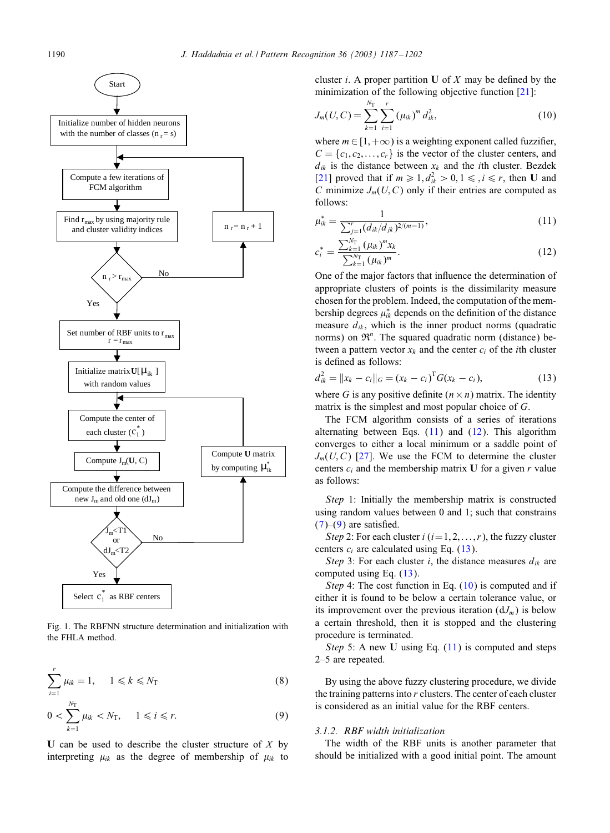<span id="page-3-0"></span>

Fig. 1. The RBFNN structure determination and initialization with the FHLA method.

$$
\sum_{i=1}^{r} \mu_{ik} = 1, \quad 1 \leq k \leq N_{\text{T}} \tag{8}
$$

$$
0 < \sum_{k=1}^{N_{\text{T}}} \mu_{ik} < N_{\text{T}}, \quad 1 \leq i \leq r. \tag{9}
$$

U can be used to describe the cluster structure of  $X$  by interpreting  $\mu_{ik}$  as the degree of membership of  $\mu_{ik}$  to cluster *i*. A proper partition U of X may be defined by the minimization of the following objective function [\[21\]](#page-14-0):

$$
J_m(U, C) = \sum_{k=1}^{N_{\rm T}} \sum_{i=1}^r (\mu_{ik})^m d_{ik}^2,
$$
 (10)

where  $m \in [1, +\infty)$  is a weighting exponent called fuzzifier,  $C = \{c_1, c_2, \ldots, c_r\}$  is the vector of the cluster centers, and  $d_{ik}$  is the distance between  $x_k$  and the *i*th cluster. Bezdek [\[21\]](#page-14-0) proved that if  $m \ge 1, d_{ik}^2 > 0, 1 \le i \le r$ , then U and C minimize  $J_m(U, C)$  only if their entries are computed as follows:

$$
\mu_{ik}^* = \frac{1}{\sum_{j=1}^r (d_{ik}/d_{jk})^{2/(m-1)}},\tag{11}
$$

$$
c_i^* = \frac{\sum_{k=1}^{N_{\rm T}} (\mu_{ik})^m x_k}{\sum_{k=1}^{N_{\rm T}} (\mu_{ik})^m}.
$$
\n(12)

One of the major factors that influence the determination of appropriate clusters of points is the dissimilarity measure chosen for the problem. Indeed, the computation of the membership degrees  $\mu_{ik}^*$  depends on the definition of the distance measure  $d_{ik}$ , which is the inner product norms (quadratic norms) on  $\mathfrak{R}^n$ . The squared quadratic norm (distance) between a pattern vector  $x_k$  and the center  $c_i$  of the *i*th cluster is defined as follows:

$$
d_{ik}^{2} = ||x_{k} - c_{i}||_{G} = (x_{k} - c_{i})^{T} G (x_{k} - c_{i}),
$$
\n(13)

where G is any positive definite  $(n \times n)$  matrix. The identity matrix is the simplest and most popular choice of G.

The FCM algorithm consists of a series of iterations alternating between Eqs.  $(11)$  and  $(12)$ . This algorithm converges to either a local minimum or a saddle point of  $J_m(U, C)$  [\[27\]](#page-15-0). We use the FCM to determine the cluster centers  $c_i$  and the membership matrix U for a given r value as follows:

*Step* 1: Initially the membership matrix is constructed using random values between 0 and 1; such that constrains  $(7)$ – $(9)$  are satisfied.

*Step* 2: For each cluster  $i$  ( $i = 1, 2, \ldots, r$ ), the fuzzy cluster centers  $c_i$  are calculated using Eq. (13).

*Step* 3: For each cluster *i*, the distance measures  $d_{ik}$  are computed using Eq. (13).

*Step* 4: The cost function in Eq. (10) is computed and if either it is found to be below a certain tolerance value, or its improvement over the previous iteration  $(dJ_m)$  is below a certain threshold, then it is stopped and the clustering procedure is terminated.

*Step* 5: A new U using Eq. (11) is computed and steps 2–5 are repeated.

By using the above fuzzy clustering procedure, we divide the training patterns into  $r$  clusters. The center of each cluster is considered as an initial value for the RBF centers.

# *3.1.2. RBF width initialization*

The width of the RBF units is another parameter that should be initialized with a good initial point. The amount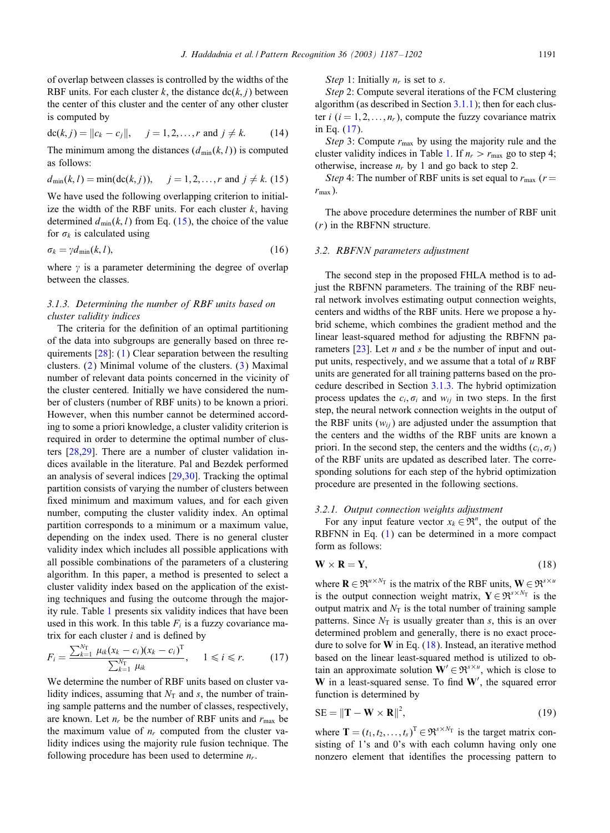<span id="page-4-0"></span>of overlap between classes is controlled by the widths of the RBF units. For each cluster k, the distance  $\text{dc}(k, i)$  between the center of this cluster and the center of any other cluster is computed by

$$
dc(k, j) = ||c_k - c_j||, \quad j = 1, 2, ..., r \text{ and } j \neq k. \quad (14)
$$

The minimum among the distances  $(d_{min}(k, l))$  is computed as follows:

$$
d_{\min}(k, l) = \min(\text{dc}(k, j)), \quad j = 1, 2, ..., r \text{ and } j \neq k.
$$
 (15)

We have used the following overlapping criterion to initialize the width of the RBF units. For each cluster  $k$ , having determined  $d_{\min}(k, l)$  from Eq. (15), the choice of the value for  $\sigma_k$  is calculated using

$$
\sigma_k = \gamma d_{\min}(k, l),\tag{16}
$$

where  $\gamma$  is a parameter determining the degree of overlap between the classes.

# *3.1.3. Determining the number of RBF units based on cluster validity indices*

The criteria for the definition of an optimal partitioning of the data into subgroups are generally based on three requirements [\[28\]](#page-15-0): [\(1\)](#page-1-0) Clear separation between the resulting clusters. [\(2\)](#page-2-0) Minimal volume of the clusters. [\(3\)](#page-2-0) Maximal number of relevant data points concerned in the vicinity of the cluster centered. Initially we have considered the number of clusters (number of RBF units) to be known a priori. However, when this number cannot be determined according to some a priori knowledge, a cluster validity criterion is required in order to determine the optimal number of clusters [\[28,29\]](#page-15-0). There are a number of cluster validation indices available in the literature. Pal and Bezdek performed an analysis of several indices [\[29,30\]](#page-15-0). Tracking the optimal partition consists of varying the number of clusters between fixed minimum and maximum values, and for each given number, computing the cluster validity index. An optimal partition corresponds to a minimum or a maximum value, depending on the index used. There is no general cluster validity index which includes all possible applications with all possible combinations of the parameters of a clustering algorithm. In this paper, a method is presented to select a cluster validity index based on the application of the existing techniques and fusing the outcome through the majority rule. Table [1](#page-5-0) presents six validity indices that have been used in this work. In this table  $F_i$  is a fuzzy covariance matrix for each cluster  $i$  and is defined by

$$
F_i = \frac{\sum_{k=1}^{N_{\rm T}} \mu_{ik} (x_k - c_i)(x_k - c_i)^{\rm T}}{\sum_{k=1}^{N_{\rm T}} \mu_{ik}}, \quad 1 \leq i \leq r. \tag{17}
$$

We determine the number of RBF units based on cluster validity indices, assuming that  $N<sub>T</sub>$  and s, the number of training sample patterns and the number of classes, respectively, are known. Let  $n_r$  be the number of RBF units and  $r_{\text{max}}$  be the maximum value of  $n_r$  computed from the cluster validity indices using the majority rule fusion technique. The following procedure has been used to determine  $n_r$ .

*Step* 1: Initially  $n_r$  is set to *s*.

*Step* 2: Compute several iterations of the FCM clustering algorithm (as described in Section [3.1.1\)](#page-2-0); then for each cluster i  $(i = 1, 2, \ldots, n_r)$ , compute the fuzzy covariance matrix in Eq. (17).

*Step* 3: Compute  $r_{\text{max}}$  by using the majority rule and the cluster validity indices in Table [1.](#page-5-0) If  $n_r > r_{\text{max}}$  go to step 4; otherwise, increase  $n_r$  by 1 and go back to step 2.

*Step* 4: The number of RBF units is set equal to  $r_{\text{max}}$  ( $r =$  $r_{\text{max}}$ ).

The above procedure determines the number of RBF unit  $(r)$  in the RBFNN structure.

# *3.2. RBFNN parameters adjustment*

The second step in the proposed FHLA method is to adjust the RBFNN parameters. The training of the RBF neural network involves estimating output connection weights, centers and widths of the RBF units. Here we propose a hybrid scheme, which combines the gradient method and the linear least-squared method for adjusting the RBFNN parameters  $[23]$ . Let *n* and *s* be the number of input and output units, respectively, and we assume that a total of  $u$  RBF units are generated for all training patterns based on the procedure described in Section 3.1.3. The hybrid optimization process updates the  $c_i$ ,  $\sigma_i$  and  $w_{ij}$  in two steps. In the first step, the neural network connection weights in the output of the RBF units  $(w_{ii})$  are adjusted under the assumption that the centers and the widths of the RBF units are known a priori. In the second step, the centers and the widths  $(c_i, \sigma_i)$ of the RBF units are updated as described later. The corresponding solutions for each step of the hybrid optimization procedure are presented in the following sections.

#### *3.2.1. Output connection weights adjustment*

For any input feature vector  $x_k \in \mathfrak{R}^n$ , the output of the RBFNN in Eq. [\(1\)](#page-1-0) can be determined in a more compact form as follows:

$$
\mathbf{W} \times \mathbf{R} = \mathbf{Y},\tag{18}
$$

where  $\mathbf{R} \in \mathfrak{R}^{u \times N_T}$  is the matrix of the RBF units,  $\mathbf{W} \in \mathfrak{R}^{s \times u}$ is the output connection weight matrix,  $Y \in \mathfrak{R}^{s \times N_T}$  is the output matrix and  $N<sub>T</sub>$  is the total number of training sample patterns. Since  $N_T$  is usually greater than s, this is an over determined problem and generally, there is no exact procedure to solve for  $W$  in Eq. (18). Instead, an iterative method based on the linear least-squared method is utilized to obtain an approximate solution  $\mathbf{W}' \in \mathfrak{R}^{s \times u}$ , which is close to  $W$  in a least-squared sense. To find  $W'$ , the squared error function is determined by

$$
SE = ||\mathbf{T} - \mathbf{W} \times \mathbf{R}||^2,
$$
 (19)

where  $\mathbf{T} = (t_1, t_2, \dots, t_s)^T \in \Re^{s \times N_T}$  is the target matrix consisting of 1's and 0's with each column having only one nonzero element that identifies the processing pattern to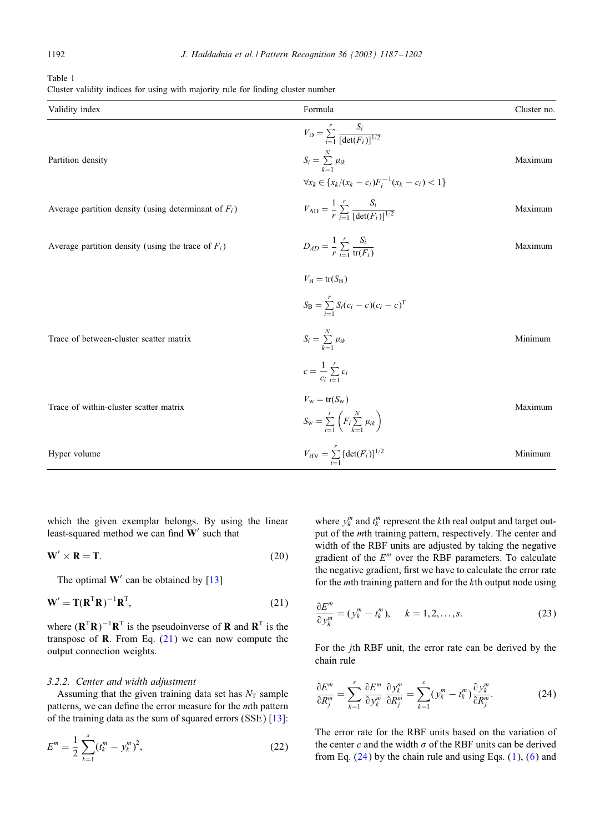<span id="page-5-0"></span>Table 1

|  |  |  |  |  |  | Cluster validity indices for using with majority rule for finding cluster number |  |  |  |  |  |
|--|--|--|--|--|--|----------------------------------------------------------------------------------|--|--|--|--|--|
|--|--|--|--|--|--|----------------------------------------------------------------------------------|--|--|--|--|--|

| Validity index                                          | Formula                                                                 | Cluster no. |
|---------------------------------------------------------|-------------------------------------------------------------------------|-------------|
|                                                         | $V_{\rm D} = \sum_{i=1}^{r} \frac{S_i}{[\det(F_i)]^{1/2}}$              |             |
| Partition density                                       | $S_i = \sum_{i=1}^N \mu_{ik}$                                           | Maximum     |
|                                                         | $\forall x_k \in \{x_k/(x_k - c_i)F_i^{-1}(x_k - c_i) < 1\}$            |             |
| Average partition density (using determinant of $F_i$ ) | $V_{AD} = \frac{1}{r} \sum_{i=1}^{r} \frac{S_i}{[det(F_i)]^{1/2}}$      | Maximum     |
| Average partition density (using the trace of $F_i$ )   | $D_{AD} = \frac{1}{r} \sum_{i=1}^{r} \frac{S_i}{\text{tr}(F_i)}$        | Maximum     |
|                                                         | $V_{\rm B}$ = tr( $S_{\rm B}$ )                                         |             |
|                                                         | $S_{\rm B} = \sum_{i=1}^{r} S_i (c_i - c) (c_i - c)^{\rm T}$            |             |
| Trace of between-cluster scatter matrix                 | $S_i = \sum_{i=1}^N \mu_{ik}$                                           | Minimum     |
|                                                         | $c = \frac{1}{c_i} \sum_{i=1}^r c_i$                                    |             |
| Trace of within-cluster scatter matrix                  | $V_{\rm w} = {\rm tr}(S_{\rm w})$                                       | Maximum     |
|                                                         | $S_{\rm w} = \sum_{i=1}^{r} \left( F_i \sum_{k=1}^{N} \mu_{ik} \right)$ |             |
| Hyper volume                                            | $V_{\rm HV} = \sum_{i=1}^{r} \text{[det}(F_i)\text{]}^{1/2}$            | Minimum     |

which the given exemplar belongs. By using the linear least-squared method we can find  $W'$  such that

$$
\mathbf{W}' \times \mathbf{R} = \mathbf{T}.\tag{20}
$$

The optimal  $W'$  can be obtained by  $[13]$ 

$$
\mathbf{W}' = \mathbf{T}(\mathbf{R}^{\mathrm{T}}\mathbf{R})^{-1}\mathbf{R}^{\mathrm{T}},\tag{21}
$$

where  $(\mathbf{R}^T \mathbf{R})^{-1} \mathbf{R}^T$  is the pseudoinverse of **R** and  $\mathbf{R}^T$  is the transpose of **. From Eq.**  $(21)$  **we can now compute the** output connection weights.

# *3.2.2. Center and width adjustment*

Assuming that the given training data set has  $N<sub>T</sub>$  sample patterns, we can define the error measure for the *mth* pattern of the training data as the sum of squared errors (SSE) [\[13\]](#page-14-0):

$$
E^{m} = \frac{1}{2} \sum_{k=1}^{s} (t_{k}^{m} - y_{k}^{m})^{2},
$$
\n(22)

where  $y_k^m$  and  $t_k^m$  represent the k<sup>th</sup> real output and target output of the mth training pattern, respectively. The center and width of the RBF units are adjusted by taking the negative gradient of the  $E<sup>m</sup>$  over the RBF parameters. To calculate the negative gradient, first we have to calculate the error rate for the *mth* training pattern and for the  $k$ th output node using

$$
\frac{\partial E^m}{\partial y_k^m} = (y_k^m - t_k^m), \quad k = 1, 2, \dots, s. \tag{23}
$$

For the jth RBF unit, the error rate can be derived by the chain rule

$$
\frac{\partial E^m}{\partial R_j^m} = \sum_{k=1}^s \frac{\partial E^m}{\partial y_k^m} \frac{\partial y_k^m}{\partial R_j^m} = \sum_{k=1}^s (y_k^m - t_k^m) \frac{\partial y_k^m}{\partial R_j^m}.
$$
 (24)

The error rate for the RBF units based on the variation of the center c and the width  $\sigma$  of the RBF units can be derived from Eq.  $(24)$  by the chain rule and using Eqs.  $(1)$ ,  $(6)$  and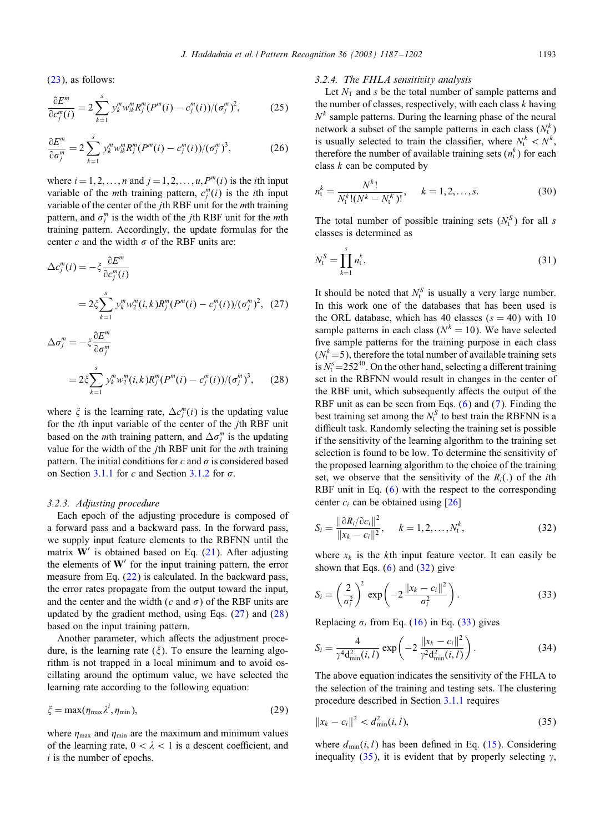<span id="page-6-0"></span>[\(23\)](#page-5-0), as follows:

$$
\frac{\partial E^m}{\partial c_j^m(i)} = 2 \sum_{k=1}^s y_k^m w_{ik}^m R_j^m (P^m(i) - c_j^m(i)) / (\sigma_j^m)^2, \qquad (25)
$$

$$
\frac{\partial E^m}{\partial \sigma_j^m} = 2 \sum_{k=1}^s y_k^m w_{ik}^m R_j^m (P^m(i) - c_j^m(i))/( \sigma_j^m )^3, \qquad (26)
$$

where  $i = 1, 2, \ldots, n$  and  $j = 1, 2, \ldots, u, P^m(i)$  is the *i*th input variable of the *m*th training pattern,  $c_j^m(i)$  is the *i*th input variable of the center of the jth RBF unit for the mth training pattern, and  $\sigma_j^m$  is the width of the *j*th RBF unit for the *m*th training pattern. Accordingly, the update formulas for the center c and the width  $\sigma$  of the RBF units are:

$$
\Delta c_j^m(i) = -\xi \frac{\partial E^m}{\partial c_j^m(i)}
$$
  
\n
$$
= 2\xi \sum_{k=1}^s y_k^m w_2^m(i,k) R_j^m(P^m(i) - c_j^m(i))/( {\sigma_j}^m)^2, (27)
$$
  
\n
$$
\Delta \sigma_j^m = -\xi \frac{\partial E^m}{\partial \sigma_j^m}
$$
  
\n
$$
= 2\xi \sum_{k=1}^s y_k^m w_2^m(i,k) R_j^m(P^m(i) - c_j^m(i))/( {\sigma_j}^m)^3, (28)
$$

where  $\xi$  is the learning rate,  $\Delta c_j^m(i)$  is the updating value for the ith input variable of the center of the jth RBF unit based on the *m*th training pattern, and  $\Delta \sigma_j^m$  is the updating value for the width of the *j*th RBF unit for the *mth* training pattern. The initial conditions for c and  $\sigma$  is considered based on Section [3.1.1](#page-2-0) for c and Section [3.1.2](#page-3-0) for  $\sigma$ .

# *3.2.3. Adjusting procedure*

Each epoch of the adjusting procedure is composed of a forward pass and a backward pass. In the forward pass, we supply input feature elements to the RBFNN until the matrix  $W'$  is obtained based on Eq. [\(21\)](#page-5-0). After adjusting the elements of  $W'$  for the input training pattern, the error measure from Eq. [\(22\)](#page-5-0) is calculated. In the backward pass, the error rates propagate from the output toward the input, and the center and the width (c and  $\sigma$ ) of the RBF units are updated by the gradient method, using Eqs.  $(27)$  and  $(28)$ based on the input training pattern.

Another parameter, which affects the adjustment procedure, is the learning rate  $(\xi)$ . To ensure the learning algorithm is not trapped in a local minimum and to avoid oscillating around the optimum value, we have selected the learning rate according to the following equation:

$$
\zeta = \max(\eta_{\max}\lambda^i, \eta_{\min}),\tag{29}
$$

where  $\eta_{\text{max}}$  and  $\eta_{\text{min}}$  are the maximum and minimum values of the learning rate,  $0 < \lambda < 1$  is a descent coefficient, and  $i$  is the number of epochs.

#### *3.2.4. The FHLA sensitivity analysis*

Let  $N_T$  and s be the total number of sample patterns and the number of classes, respectively, with each class  $k$  having  $N<sup>k</sup>$  sample patterns. During the learning phase of the neural network a subset of the sample patterns in each class  $(N_t^k)$ is usually selected to train the classifier, where  $N_t^k < N^k$ , therefore the number of available training sets  $(n_t^k)$  for each class  $k$  can be computed by

$$
n_{t}^{k} = \frac{N^{k}!}{N_{t}^{k}!(N^{k} - N_{t}^{K})!}, \quad k = 1, 2, ..., s.
$$
 (30)

The total number of possible training sets  $(N_t^S)$  for all s classes is determined as

$$
N_{t}^{S} = \prod_{k=1}^{s} n_{t}^{k}.
$$
\n(31)

It should be noted that  $N_t^S$  is usually a very large number. In this work one of the databases that has been used is the ORL database, which has 40 classes  $(s = 40)$  with 10 sample patterns in each class ( $N^k = 10$ ). We have selected five sample patterns for the training purpose in each class  $(N_t^k=5)$ , therefore the total number of available training sets is  $N_t^s$  = 252<sup>40</sup>. On the other hand, selecting a different training set in the RBFNN would result in changes in the center of the RBF unit, which subsequently affects the output of the RBF unit as can be seen from Eqs. [\(6\)](#page-2-0) and [\(7\)](#page-2-0). Finding the best training set among the  $N_t^S$  to best train the RBFNN is a difficult task. Randomly selecting the training set is possible if the sensitivity of the learning algorithm to the training set selection is found to be low. To determine the sensitivity of the proposed learning algorithm to the choice of the training set, we observe that the sensitivity of the  $R_i(.)$  of the *i*th RBF unit in Eq. [\(6\)](#page-2-0) with the respect to the corresponding center  $c_i$  can be obtained using [\[26\]](#page-15-0)

$$
S_i = \frac{\|\partial R_i / \partial c_i\|^2}{\|x_k - c_i\|^2}, \quad k = 1, 2, ..., N_t^k,
$$
 (32)

where  $x_k$  is the kth input feature vector. It can easily be shown that Eqs.  $(6)$  and  $(32)$  give

$$
S_i = \left(\frac{2}{\sigma_i^2}\right)^2 \exp\left(-2\frac{\|x_k - c_i\|^2}{\sigma_i^2}\right). \tag{33}
$$

Replacing  $\sigma_i$  from Eq. [\(16\)](#page-4-0) in Eq. (33) gives

$$
S_i = \frac{4}{\gamma^4 d_{\min}^2(i, l)} \exp\left(-2 \frac{\|x_k - c_i\|^2}{\gamma^2 d_{\min}^2(i, l)}\right).
$$
 (34)

The above equation indicates the sensitivity of the FHLA to the selection of the training and testing sets. The clustering procedure described in Section [3.1.1](#page-2-0) requires

$$
||x_k - c_i||^2 < d_{\min}^2(i, l),\tag{35}
$$

where  $d_{\text{min}}(i, l)$  has been defined in Eq. [\(15\)](#page-4-0). Considering inequality (35), it is evident that by properly selecting  $\gamma$ ,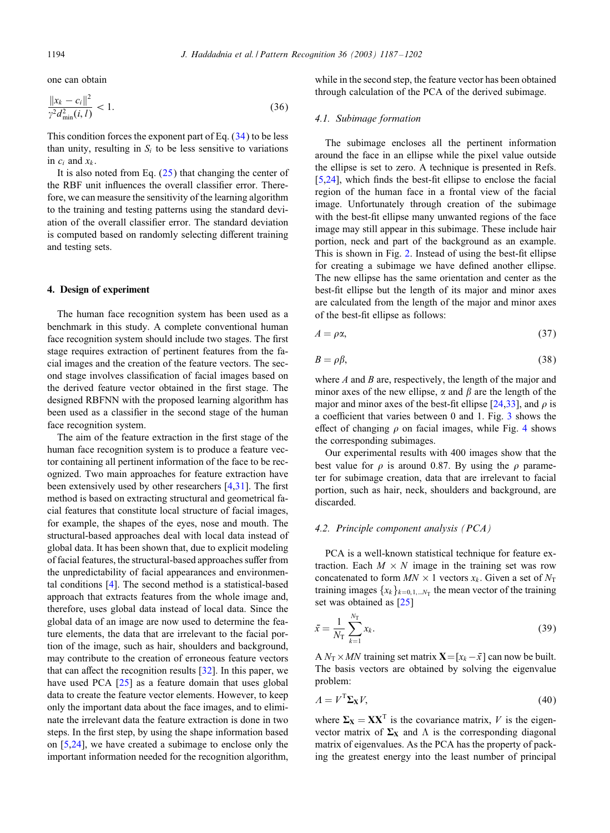<span id="page-7-0"></span>one can obtain

$$
\frac{\|x_k - c_i\|^2}{\gamma^2 d_{\min}^2(i, l)} < 1. \tag{36}
$$

This condition forces the exponent part of Eq.  $(34)$  to be less than unity, resulting in  $S_i$  to be less sensitive to variations in  $c_i$  and  $x_k$ .

It is also noted from Eq. [\(25\)](#page-6-0) that changing the center of the RBF unit influences the overall classifier error. Therefore, we can measure the sensitivity of the learning algorithm to the training and testing patterns using the standard deviation of the overall classifier error. The standard deviation is computed based on randomly selecting different training and testing sets.

# 4. Design of experiment

The human face recognition system has been used as a benchmark in this study. A complete conventional human face recognition system should include two stages. The first stage requires extraction of pertinent features from the facial images and the creation of the feature vectors. The second stage involves classification of facial images based on the derived feature vector obtained in the first stage. The designed RBFNN with the proposed learning algorithm has been used as a classifier in the second stage of the human face recognition system.

The aim of the feature extraction in the first stage of the human face recognition system is to produce a feature vector containing all pertinent information of the face to be recognized. Two main approaches for feature extraction have been extensively used by other researchers  $[4,31]$  $[4,31]$ . The first method is based on extracting structural and geometrical facial features that constitute local structure of facial images, for example, the shapes of the eyes, nose and mouth. The structural-based approaches deal with local data instead of global data. It has been shown that, due to explicit modeling of facial features, the structural-based approaches suffer from the unpredictability of facial appearances and environmental conditions [\[4\]](#page-14-0). The second method is a statistical-based approach that extracts features from the whole image and, therefore, uses global data instead of local data. Since the global data of an image are now used to determine the feature elements, the data that are irrelevant to the facial portion of the image, such as hair, shoulders and background, may contribute to the creation of erroneous feature vectors that can affect the recognition results  $[32]$ . In this paper, we have used PCA [\[25\]](#page-14-0) as a feature domain that uses global data to create the feature vector elements. However, to keep only the important data about the face images, and to eliminate the irrelevant data the feature extraction is done in two steps. In the first step, by using the shape information based on [\[5,24\]](#page-14-0), we have created a subimage to enclose only the important information needed for the recognition algorithm,

while in the second step, the feature vector has been obtained through calculation of the PCA of the derived subimage.

# *4.1. Subimage formation*

The subimage encloses all the pertinent information around the face in an ellipse while the pixel value outside the ellipse is set to zero. A technique is presented in Refs.  $[5,24]$ , which finds the best-fit ellipse to enclose the facial region of the human face in a frontal view of the facial image. Unfortunately through creation of the subimage with the best-fit ellipse many unwanted regions of the face image may still appear in this subimage. These include hair portion, neck and part of the background as an example. This is shown in Fig. [2.](#page-8-0) Instead of using the best-fit ellipse for creating a subimage we have defined another ellipse. The new ellipse has the same orientation and center as the best-6t ellipse but the length of its major and minor axes are calculated from the length of the major and minor axes of the best-6t ellipse as follows:

$$
A = \rho \alpha,\tag{37}
$$

$$
B = \rho \beta,\tag{38}
$$

where  $A$  and  $B$  are, respectively, the length of the major and minor axes of the new ellipse,  $\alpha$  and  $\beta$  are the length of the major and minor axes of the best-fit ellipse [\[24,](#page-14-0)[33\]](#page-15-0), and  $\rho$  is a coefficient that varies between  $0$  and  $1$ . Fig.  $3$  shows the effect of changing  $\rho$  on facial images, while Fig. [4](#page-8-0) shows the corresponding subimages.

Our experimental results with 400 images show that the best value for  $\rho$  is around 0.87. By using the  $\rho$  parameter for subimage creation, data that are irrelevant to facial portion, such as hair, neck, shoulders and background, are discarded.

# *4.2. Principle component analysis (PCA)*

PCA is a well-known statistical technique for feature extraction. Each  $M \times N$  image in the training set was row concatenated to form  $MN \times 1$  vectors  $x_k$ . Given a set of  $N_T$ training images  $\{x_k\}_{k=0,1,\dots,N_T}$  the mean vector of the training set was obtained as [\[25\]](#page-14-0)

$$
\bar{x} = \frac{1}{N_{\rm T}} \sum_{k=1}^{N_{\rm T}} x_k.
$$
\n(39)

A  $N_T \times MN$  training set matrix  $\mathbf{X} = [x_k - \bar{x}]$  can now be built. The basis vectors are obtained by solving the eigenvalue problem:

$$
A = V^{\mathrm{T}} \Sigma_{\mathbf{X}} V,\tag{40}
$$

where  $\Sigma_X = XX^T$  is the covariance matrix, V is the eigenvector matrix of  $\Sigma_X$  and  $\Lambda$  is the corresponding diagonal matrix of eigenvalues. As the PCA has the property of packing the greatest energy into the least number of principal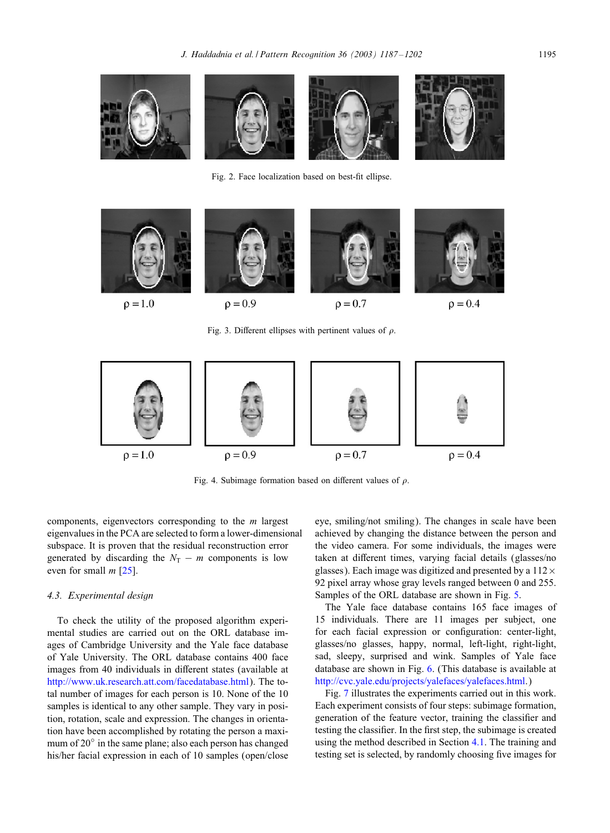<span id="page-8-0"></span>

Fig. 2. Face localization based on best-fit ellipse.



Fig. 3. Different ellipses with pertinent values of  $\rho$ .



Fig. 4. Subimage formation based on different values of  $\rho$ .

components, eigenvectors corresponding to the m largest eigenvalues in the PCA are selected to form a lower-dimensional subspace. It is proven that the residual reconstruction error generated by discarding the  $N_T - m$  components is low even for small  $m$  [\[25\]](#page-14-0).

#### *4.3. Experimental design*

To check the utility of the proposed algorithm experimental studies are carried out on the ORL database images of Cambridge University and the Yale face database of Yale University. The ORL database contains 400 face images from 40 individuals in different states (available at [http://www.uk.research.att.com/facedatabase.html\)](http://www.uk.research.att.com/facedatabase.html). The total number of images for each person is 10. None of the 10 samples is identical to any other sample. They vary in position, rotation, scale and expression. The changes in orientation have been accomplished by rotating the person a maximum of 20<sup>°</sup> in the same plane; also each person has changed his/her facial expression in each of 10 samples (open/close eye, smiling/not smiling). The changes in scale have been achieved by changing the distance between the person and the video camera. For some individuals, the images were taken at different times, varying facial details (glasses/no glasses). Each image was digitized and presented by a  $112 \times$ 92 pixel array whose gray levels ranged between 0 and 255. Samples of the ORL database are shown in Fig. [5.](#page-9-0)

The Yale face database contains 165 face images of 15 individuals. There are 11 images per subject, one for each facial expression or configuration: center-light, glasses/no glasses, happy, normal, left-light, right-light, sad, sleepy, surprised and wink. Samples of Yale face database are shown in Fig. [6.](#page-9-0) (This database is available at [http://cvc.yale.edu/projects/yalefaces/yalefaces.html.](http://cvc.yale.edu/projects/yalefaces/yalefaces.html))

Fig. [7](#page-10-0) illustrates the experiments carried out in this work. Each experiment consists of four steps: subimage formation, generation of the feature vector, training the classifier and testing the classifier. In the first step, the subimage is created using the method described in Section [4.1.](#page-7-0) The training and testing set is selected, by randomly choosing five images for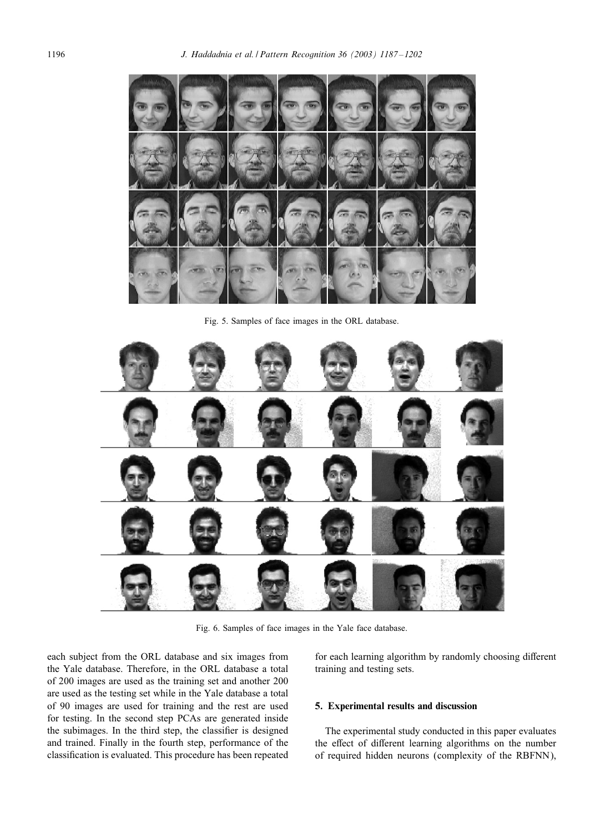<span id="page-9-0"></span>

Fig. 5. Samples of face images in the ORL database.



Fig. 6. Samples of face images in the Yale face database.

each subject from the ORL database and six images from the Yale database. Therefore, in the ORL database a total of 200 images are used as the training set and another 200 are used as the testing set while in the Yale database a total of 90 images are used for training and the rest are used for testing. In the second step PCAs are generated inside the subimages. In the third step, the classifier is designed and trained. Finally in the fourth step, performance of the classification is evaluated. This procedure has been repeated for each learning algorithm by randomly choosing different training and testing sets.

# 5. Experimental results and discussion

The experimental study conducted in this paper evaluates the effect of different learning algorithms on the number of required hidden neurons (complexity of the RBFNN),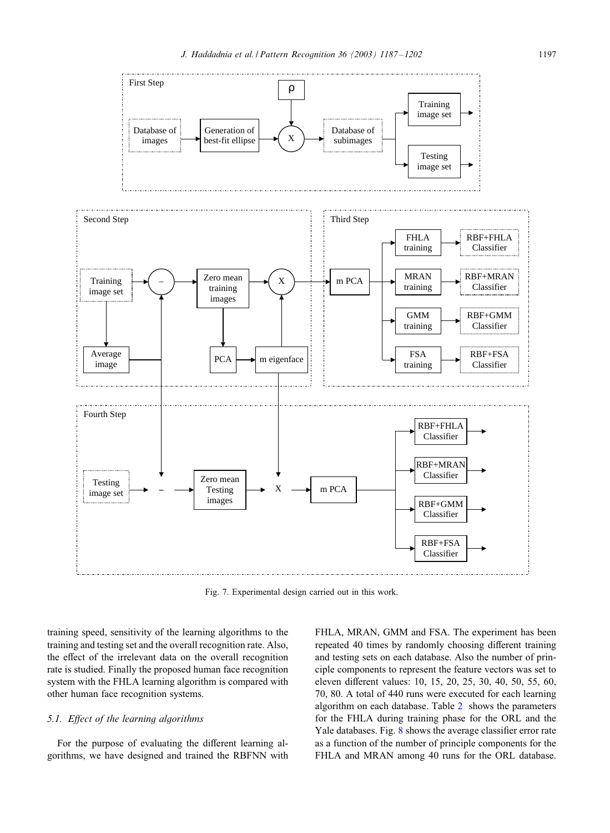<span id="page-10-0"></span>

Fig. 7. Experimental design carried out in this work.

training speed, sensitivity of the learning algorithms to the training and testing set and the overall recognition rate. Also, the effect of the irrelevant data on the overall recognition rate is studied. Finally the proposed human face recognition system with the FHLA learning algorithm is compared with other human face recognition systems.

# *5.1. E?ect of the learning algorithms*

For the purpose of evaluating the different learning algorithms, we have designed and trained the RBFNN with FHLA, MRAN, GMM and FSA. The experiment has been repeated 40 times by randomly choosing different training and testing sets on each database. Also the number of principle components to represent the feature vectors was set to eleven different values: 10, 15, 20, 25, 30, 40, 50, 55, 60, 70, 80. A total of 440 runs were executed for each learning algorithm on each database. Table [2](#page-11-0) shows the parameters for the FHLA during training phase for the ORL and the Yale databases. Fig.  $8$  shows the average classifier error rate as a function of the number of principle components for the FHLA and MRAN among 40 runs for the ORL database.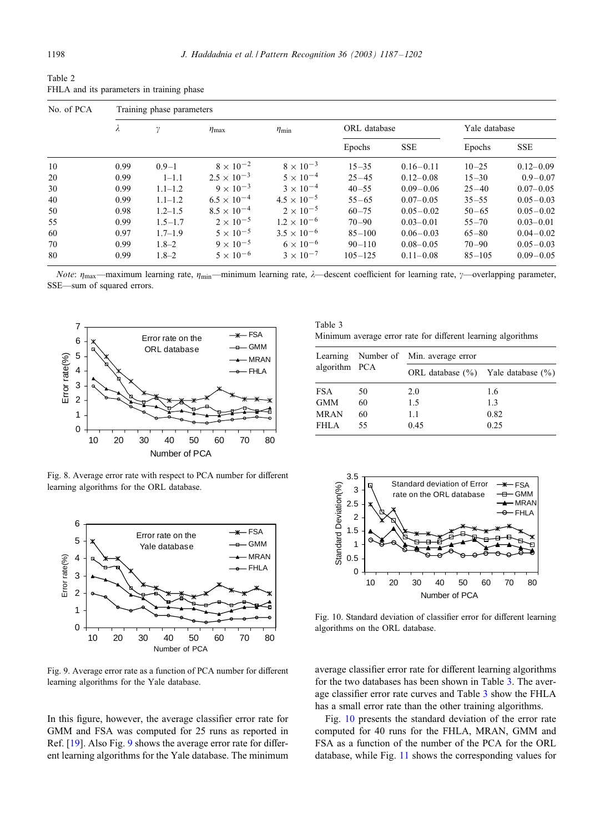<span id="page-11-0"></span>

| Table 2                                   |  |
|-------------------------------------------|--|
| FHLA and its parameters in training phase |  |

| No. of PCA | Training phase parameters |             |                      |                      |              |               |               |               |  |  |  |
|------------|---------------------------|-------------|----------------------|----------------------|--------------|---------------|---------------|---------------|--|--|--|
|            | λ                         | γ           | $\eta_{\text{max}}$  | $\eta_{\min}$        | ORL database |               | Yale database |               |  |  |  |
|            |                           |             |                      |                      | Epochs       | <b>SSE</b>    | Epochs        | <b>SSE</b>    |  |  |  |
| 10         | 0.99                      | $0.9 - 1$   | $8 \times 10^{-2}$   | $8 \times 10^{-3}$   | $15 - 35$    | $0.16 - 0.11$ | $10 - 25$     | $0.12 - 0.09$ |  |  |  |
| 20         | 0.99                      | $1 - 1.1$   | $2.5 \times 10^{-3}$ | $5 \times 10^{-4}$   | $25 - 45$    | $0.12 - 0.08$ | $15 - 30$     | $0.9 - 0.07$  |  |  |  |
| 30         | 0.99                      | $1.1 - 1.2$ | $9 \times 10^{-3}$   | $3 \times 10^{-4}$   | $40 - 55$    | $0.09 - 0.06$ | $25 - 40$     | $0.07 - 0.05$ |  |  |  |
| 40         | 0.99                      | $1.1 - 1.2$ | $6.5 \times 10^{-4}$ | $4.5 \times 10^{-5}$ | $55 - 65$    | $0.07 - 0.05$ | $35 - 55$     | $0.05 - 0.03$ |  |  |  |
| 50         | 0.98                      | $1.2 - 1.5$ | $8.5 \times 10^{-4}$ | $2 \times 10^{-5}$   | $60 - 75$    | $0.05 - 0.02$ | $50 - 65$     | $0.05 - 0.02$ |  |  |  |
| 55         | 0.99                      | $1.5 - 1.7$ | $2 \times 10^{-5}$   | $1.2 \times 10^{-6}$ | $70 - 90$    | $0.03 - 0.01$ | $55 - 70$     | $0.03 - 0.01$ |  |  |  |
| 60         | 0.97                      | $1.7 - 1.9$ | $5 \times 10^{-5}$   | $3.5 \times 10^{-6}$ | $85 - 100$   | $0.06 - 0.03$ | $65 - 80$     | $0.04 - 0.02$ |  |  |  |
| 70         | 0.99                      | $1.8 - 2$   | $9 \times 10^{-5}$   | $6 \times 10^{-6}$   | $90 - 110$   | $0.08 - 0.05$ | $70 - 90$     | $0.05 - 0.03$ |  |  |  |
| 80         | 0.99                      | $1.8 - 2$   | $5 \times 10^{-6}$   | $3 \times 10^{-7}$   | $105 - 125$  | $0.11 - 0.08$ | $85 - 105$    | $0.09 - 0.05$ |  |  |  |

*Note*:  $\eta_{\text{max}}$ —maximum learning rate,  $\eta_{\text{min}}$ —minimum learning rate,  $\lambda$ —descent coefficient for learning rate,  $\gamma$ —overlapping parameter, SSE—sum of squared errors.



Fig. 8. Average error rate with respect to PCA number for different learning algorithms for the ORL database.



Fig. 9. Average error rate as a function of PCA number for different learning algorithms for the Yale database.

In this figure, however, the average classifier error rate for GMM and FSA was computed for 25 runs as reported in Ref. [\[19\]](#page-14-0). Also Fig. 9 shows the average error rate for different learning algorithms for the Yale database. The minimum

Table 3 Minimum average error rate for different learning algorithms

|               |    | Learning Number of Min. average error      |      |  |  |  |
|---------------|----|--------------------------------------------|------|--|--|--|
| algorithm PCA |    | ORL database $(\% )$ Yale database $(\% )$ |      |  |  |  |
| <b>FSA</b>    | 50 | 2.0                                        | 1.6  |  |  |  |
| <b>GMM</b>    | 60 | 1.5                                        | 1.3  |  |  |  |
| <b>MRAN</b>   | 60 | 1.1                                        | 0.82 |  |  |  |
| FHI A         | 55 | 0.45                                       | 0.25 |  |  |  |



Fig. 10. Standard deviation of classifier error for different learning algorithms on the ORL database.

average classifier error rate for different learning algorithms for the two databases has been shown in Table 3. The average classifier error rate curves and Table 3 show the FHLA has a small error rate than the other training algorithms.

Fig. 10 presents the standard deviation of the error rate computed for 40 runs for the FHLA, MRAN, GMM and FSA as a function of the number of the PCA for the ORL database, while Fig. [11](#page-12-0) shows the corresponding values for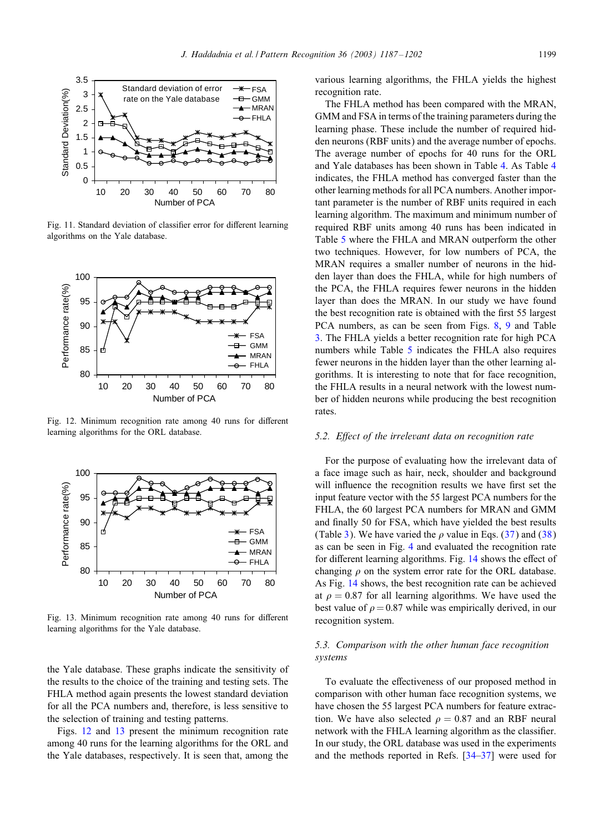<span id="page-12-0"></span>

Fig. 11. Standard deviation of classifier error for different learning algorithms on the Yale database.



Fig. 12. Minimum recognition rate among 40 runs for different learning algorithms for the ORL database.



Fig. 13. Minimum recognition rate among 40 runs for different learning algorithms for the Yale database.

the Yale database. These graphs indicate the sensitivity of the results to the choice of the training and testing sets. The FHLA method again presents the lowest standard deviation for all the PCA numbers and, therefore, is less sensitive to the selection of training and testing patterns.

Figs. 12 and 13 present the minimum recognition rate among 40 runs for the learning algorithms for the ORL and the Yale databases, respectively. It is seen that, among the various learning algorithms, the FHLA yields the highest recognition rate.

The FHLA method has been compared with the MRAN, GMM and FSA in terms of the training parameters during the learning phase. These include the number of required hidden neurons (RBF units) and the average number of epochs. The average number of epochs for 40 runs for the ORL and Yale databases has been shown in Table [4.](#page-13-0) As Table [4](#page-13-0) indicates, the FHLA method has converged faster than the other learning methods for all PCA numbers. Another important parameter is the number of RBF units required in each learning algorithm. The maximum and minimum number of required RBF units among 40 runs has been indicated in Table [5](#page-13-0) where the FHLA and MRAN outperform the other two techniques. However, for low numbers of PCA, the MRAN requires a smaller number of neurons in the hidden layer than does the FHLA, while for high numbers of the PCA, the FHLA requires fewer neurons in the hidden layer than does the MRAN. In our study we have found the best recognition rate is obtained with the first 55 largest PCA numbers, as can be seen from Figs. [8,](#page-11-0) [9](#page-11-0) and Table [3.](#page-11-0) The FHLA yields a better recognition rate for high PCA numbers while Table [5](#page-13-0) indicates the FHLA also requires fewer neurons in the hidden layer than the other learning algorithms. It is interesting to note that for face recognition, the FHLA results in a neural network with the lowest number of hidden neurons while producing the best recognition rates.

#### *5.2. E?ect of the irrelevant data on recognition rate*

For the purpose of evaluating how the irrelevant data of a face image such as hair, neck, shoulder and background will influence the recognition results we have first set the input feature vector with the 55 largest PCA numbers for the FHLA, the 60 largest PCA numbers for MRAN and GMM and finally 50 for FSA, which have yielded the best results (Table [3\)](#page-11-0). We have varied the  $\rho$  value in Eqs. [\(37\)](#page-7-0) and [\(38\)](#page-7-0) as can be seen in Fig. [4](#page-8-0) and evaluated the recognition rate for different learning algorithms. Fig. [14](#page-13-0) shows the effect of changing  $\rho$  on the system error rate for the ORL database. As Fig. [14](#page-13-0) shows, the best recognition rate can be achieved at  $\rho = 0.87$  for all learning algorithms. We have used the best value of  $\rho = 0.87$  while was empirically derived, in our recognition system.

# *5.3. Comparison with the other human face recognition systems*

To evaluate the effectiveness of our proposed method in comparison with other human face recognition systems, we have chosen the 55 largest PCA numbers for feature extraction. We have also selected  $\rho = 0.87$  and an RBF neural network with the FHLA learning algorithm as the classifier. In our study, the ORL database was used in the experiments and the methods reported in Refs. [\[34–37\]](#page-15-0) were used for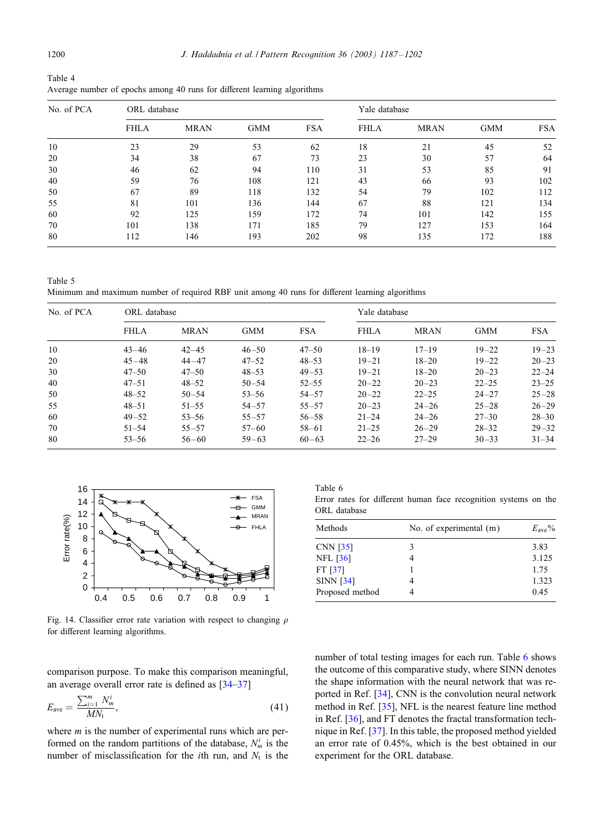<span id="page-13-0"></span>

| Table 4                                                                  |  |  |  |
|--------------------------------------------------------------------------|--|--|--|
| Average number of epochs among 40 runs for different learning algorithms |  |  |  |

| No. of PCA | ORL database |             |            |            | Yale database |             |            |            |
|------------|--------------|-------------|------------|------------|---------------|-------------|------------|------------|
|            | <b>FHLA</b>  | <b>MRAN</b> | <b>GMM</b> | <b>FSA</b> | <b>FHLA</b>   | <b>MRAN</b> | <b>GMM</b> | <b>FSA</b> |
| 10         | 23           | 29          | 53         | 62         | 18            | 21          | 45         | 52         |
| 20         | 34           | 38          | 67         | 73         | 23            | 30          | 57         | 64         |
| 30         | 46           | 62          | 94         | 110        | 31            | 53          | 85         | 91         |
| 40         | 59           | 76          | 108        | 121        | 43            | 66          | 93         | 102        |
| 50         | 67           | 89          | 118        | 132        | 54            | 79          | 102        | 112        |
| 55         | 81           | 101         | 136        | 144        | 67            | 88          | 121        | 134        |
| 60         | 92           | 125         | 159        | 172        | 74            | 101         | 142        | 155        |
| 70         | 101          | 138         | 171        | 185        | 79            | 127         | 153        | 164        |
| 80         | 112          | 146         | 193        | 202        | 98            | 135         | 172        | 188        |

Table 5 Minimum and maximum number of required RBF unit among 40 runs for different learning algorithms

| No. of PCA | ORL database |             |            |            | Yale database |             |            |            |  |
|------------|--------------|-------------|------------|------------|---------------|-------------|------------|------------|--|
|            | <b>FHLA</b>  | <b>MRAN</b> | <b>GMM</b> | <b>FSA</b> | <b>FHLA</b>   | <b>MRAN</b> | <b>GMM</b> | <b>FSA</b> |  |
| 10         | $43 - 46$    | $42 - 45$   | $46 - 50$  | $47 - 50$  | $18 - 19$     | $17 - 19$   | $19 - 22$  | $19 - 23$  |  |
| 20         | $45 - 48$    | $44 - 47$   | $47 - 52$  | $48 - 53$  | $19 - 21$     | $18 - 20$   | $19 - 22$  | $20 - 23$  |  |
| 30         | $47 - 50$    | $47 - 50$   | $48 - 53$  | $49 - 53$  | $19 - 21$     | $18 - 20$   | $20 - 23$  | $22 - 24$  |  |
| 40         | $47 - 51$    | $48 - 52$   | $50 - 54$  | $52 - 55$  | $20 - 22$     | $20 - 23$   | $22 - 25$  | $23 - 25$  |  |
| 50         | $48 - 52$    | $50 - 54$   | $53 - 56$  | $54 - 57$  | $20 - 22$     | $22 - 25$   | $24 - 27$  | $25 - 28$  |  |
| 55         | $48 - 51$    | $51 - 55$   | $54 - 57$  | $55 - 57$  | $20 - 23$     | $24 - 26$   | $25 - 28$  | $26 - 29$  |  |
| 60         | $49 - 52$    | $53 - 56$   | $55 - 57$  | $56 - 58$  | $21 - 24$     | $24 - 26$   | $27 - 30$  | $28 - 30$  |  |
| 70         | $51 - 54$    | $55 - 57$   | $57 - 60$  | $58 - 61$  | $21 - 25$     | $26 - 29$   | $28 - 32$  | $29 - 32$  |  |
| 80         | $53 - 56$    | $56 - 60$   | $59 - 63$  | $60 - 63$  | $22 - 26$     | $27 - 29$   | $30 - 33$  | $31 - 34$  |  |



Fig. 14. Classifier error rate variation with respect to changing  $\rho$ for different learning algorithms.

comparison purpose. To make this comparison meaningful, an average overall error rate is defined as  $[34-37]$ 

$$
E_{\text{ave}} = \frac{\sum_{i=1}^{m} N_m^i}{MN_{\text{t}}},\tag{41}
$$

where  $m$  is the number of experimental runs which are performed on the random partitions of the database,  $N_m^i$  is the number of misclassification for the *i*th run, and  $N_t$  is the

Table 6

Error rates for different human face recognition systems on the ORL database

| No. of experimental $(m)$ | $E_{\rm ave}\%$ |
|---------------------------|-----------------|
| 3                         | 3.83            |
| 4                         | 3.125           |
|                           | 1.75            |
| 4                         | 1.323           |
|                           | 0.45            |
|                           |                 |

number of total testing images for each run. Table 6 shows the outcome of this comparative study, where SINN denotes the shape information with the neural network that was reported in Ref. [\[34\]](#page-15-0), CNN is the convolution neural network method in Ref. [\[35\]](#page-15-0), NFL is the nearest feature line method in Ref. [\[36\]](#page-15-0), and FT denotes the fractal transformation technique in Ref. [\[37\]](#page-15-0). In this table, the proposed method yielded an error rate of 0.45%, which is the best obtained in our experiment for the ORL database.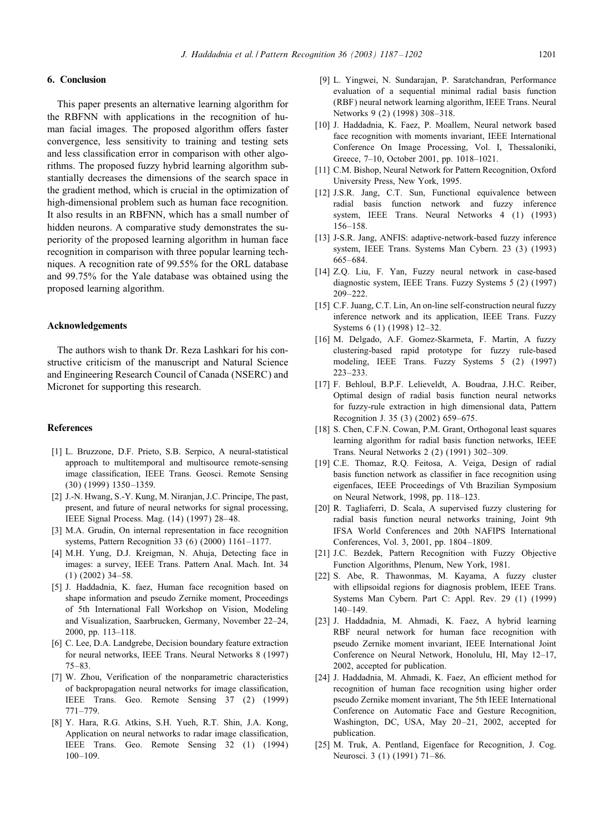# <span id="page-14-0"></span>6. Conclusion

This paper presents an alternative learning algorithm for the RBFNN with applications in the recognition of human facial images. The proposed algorithm offers faster convergence, less sensitivity to training and testing sets and less classification error in comparison with other algorithms. The proposed fuzzy hybrid learning algorithm substantially decreases the dimensions of the search space in the gradient method, which is crucial in the optimization of high-dimensional problem such as human face recognition. It also results in an RBFNN, which has a small number of hidden neurons. A comparative study demonstrates the superiority of the proposed learning algorithm in human face recognition in comparison with three popular learning techniques. A recognition rate of 99.55% for the ORL database and 99.75% for the Yale database was obtained using the proposed learning algorithm.

# Acknowledgements

The authors wish to thank Dr. Reza Lashkari for his constructive criticism of the manuscript and Natural Science and Engineering Research Council of Canada (NSERC) and Micronet for supporting this research.

## References

- [1] L. Bruzzone, D.F. Prieto, S.B. Serpico, A neural-statistical approach to multitemporal and multisource remote-sensing image classification, IEEE Trans. Geosci. Remote Sensing (30) (1999) 1350 –1359.
- [2] J.-N. Hwang, S.-Y. Kung, M. Niranjan, J.C. Principe, The past, present, and future of neural networks for signal processing, IEEE Signal Process. Mag. (14) (1997) 28-48.
- [3] M.A. Grudin, On internal representation in face recognition systems, Pattern Recognition 33 (6) (2000) 1161–1177.
- [4] M.H. Yung, D.J. Kreigman, N. Ahuja, Detecting face in images: a survey, IEEE Trans. Pattern Anal. Mach. Int. 34 (1) (2002) 34–58.
- [5] J. Haddadnia, K. faez, Human face recognition based on shape information and pseudo Zernike moment, Proceedings of 5th International Fall Workshop on Vision, Modeling and Visualization, Saarbrucken, Germany, November 22–24, 2000, pp. 113–118.
- [6] C. Lee, D.A. Landgrebe, Decision boundary feature extraction for neural networks, IEEE Trans. Neural Networks 8 (1997) 75–83.
- [7] W. Zhou, Verification of the nonparametric characteristics of backpropagation neural networks for image classification, IEEE Trans. Geo. Remote Sensing 37 (2) (1999) 771–779.
- [8] Y. Hara, R.G. Atkins, S.H. Yueh, R.T. Shin, J.A. Kong, Application on neural networks to radar image classification, IEEE Trans. Geo. Remote Sensing 32 (1) (1994) 100–109.
- [9] L. Yingwei, N. Sundarajan, P. Saratchandran, Performance evaluation of a sequential minimal radial basis function (RBF) neural network learning algorithm, IEEE Trans. Neural Networks 9 (2) (1998) 308–318.
- [10] J. Haddadnia, K. Faez, P. Moallem, Neural network based face recognition with moments invariant, IEEE International Conference On Image Processing, Vol. I, Thessaloniki, Greece, 7–10, October 2001, pp. 1018–1021.
- [11] C.M. Bishop, Neural Network for Pattern Recognition, Oxford University Press, New York, 1995.
- [12] J.S.R. Jang, C.T. Sun, Functional equivalence between radial basis function network and fuzzy inference system, IEEE Trans. Neural Networks 4 (1) (1993) 156–158.
- [13] J-S.R. Jang, ANFIS: adaptive-network-based fuzzy inference system, IEEE Trans. Systems Man Cybern. 23 (3) (1993) 665–684.
- [14] Z.Q. Liu, F. Yan, Fuzzy neural network in case-based diagnostic system, IEEE Trans. Fuzzy Systems 5 (2) (1997) 209–222.
- [15] C.F. Juang, C.T. Lin, An on-line self-construction neural fuzzy inference network and its application, IEEE Trans. Fuzzy Systems 6 (1) (1998) 12–32.
- [16] M. Delgado, A.F. Gomez-Skarmeta, F. Martin, A fuzzy clustering-based rapid prototype for fuzzy rule-based modeling, IEEE Trans. Fuzzy Systems 5 (2) (1997) 223–233.
- [17] F. Behloul, B.P.F. Lelieveldt, A. Boudraa, J.H.C. Reiber, Optimal design of radial basis function neural networks for fuzzy-rule extraction in high dimensional data, Pattern Recognition J. 35 (3) (2002) 659–675.
- [18] S. Chen, C.F.N. Cowan, P.M. Grant, Orthogonal least squares learning algorithm for radial basis function networks, IEEE Trans. Neural Networks 2 (2) (1991) 302–309.
- [19] C.E. Thomaz, R.Q. Feitosa, A. Veiga, Design of radial basis function network as classifier in face recognition using eigenfaces, IEEE Proceedings of Vth Brazilian Symposium on Neural Network, 1998, pp. 118–123.
- [20] R. Tagliaferri, D. Scala, A supervised fuzzy clustering for radial basis function neural networks training, Joint 9th IFSA World Conferences and 20th NAFIPS International Conferences, Vol. 3, 2001, pp. 1804 –1809.
- [21] J.C. Bezdek, Pattern Recognition with Fuzzy Objective Function Algorithms, Plenum, New York, 1981.
- [22] S. Abe, R. Thawonmas, M. Kayama, A fuzzy cluster with ellipsoidal regions for diagnosis problem, IEEE Trans. Systems Man Cybern. Part C: Appl. Rev. 29 (1) (1999) 140–149.
- [23] J. Haddadnia, M. Ahmadi, K. Faez, A hybrid learning RBF neural network for human face recognition with pseudo Zernike moment invariant, IEEE International Joint Conference on Neural Network, Honolulu, HI, May 12–17, 2002, accepted for publication.
- [24] J. Haddadnia, M. Ahmadi, K. Faez, An efficient method for recognition of human face recognition using higher order pseudo Zernike moment invariant, The 5th IEEE International Conference on Automatic Face and Gesture Recognition, Washington, DC, USA, May 20-21, 2002, accepted for publication.
- [25] M. Truk, A. Pentland, Eigenface for Recognition, J. Cog. Neurosci. 3 (1) (1991) 71–86.